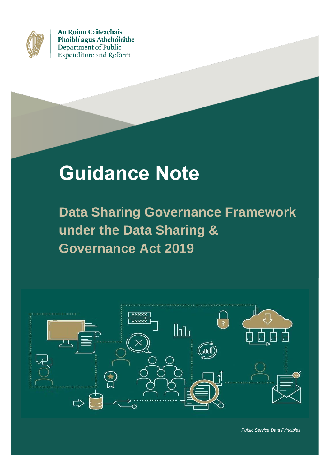

An Roinn Caiteachais Phoiblí agus Athchóirithe Department of Public **Expenditure and Reform** 

# **Guidance Note**

**Data Sharing Governance Framework under the Data Sharing & Governance Act 2019**

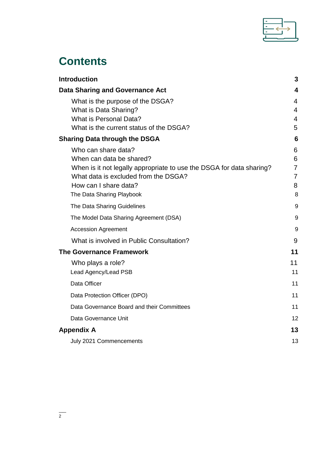

# **Contents**

| <b>Introduction</b>                                                                                          | 3                                |
|--------------------------------------------------------------------------------------------------------------|----------------------------------|
| <b>Data Sharing and Governance Act</b>                                                                       | 4                                |
| What is the purpose of the DSGA?                                                                             | 4                                |
| What is Data Sharing?                                                                                        | 4                                |
| <b>What is Personal Data?</b>                                                                                | 4                                |
| What is the current status of the DSGA?                                                                      | 5                                |
| <b>Sharing Data through the DSGA</b>                                                                         | 6                                |
| Who can share data?                                                                                          | 6                                |
| When can data be shared?                                                                                     | 6                                |
| When is it not legally appropriate to use the DSGA for data sharing?<br>What data is excluded from the DSGA? | $\overline{7}$<br>$\overline{7}$ |
| How can I share data?                                                                                        | 8                                |
| The Data Sharing Playbook                                                                                    | 8                                |
| The Data Sharing Guidelines                                                                                  | 9                                |
| The Model Data Sharing Agreement (DSA)                                                                       | 9                                |
| <b>Accession Agreement</b>                                                                                   | 9                                |
| What is involved in Public Consultation?                                                                     | 9                                |
| <b>The Governance Framework</b>                                                                              | 11                               |
| Who plays a role?                                                                                            | 11                               |
| Lead Agency/Lead PSB                                                                                         | 11                               |
| Data Officer                                                                                                 | 11                               |
| Data Protection Officer (DPO)                                                                                | 11                               |
| Data Governance Board and their Committees                                                                   | 11                               |
| Data Governance Unit                                                                                         | 12                               |
| <b>Appendix A</b>                                                                                            | 13                               |
| July 2021 Commencements                                                                                      | 13                               |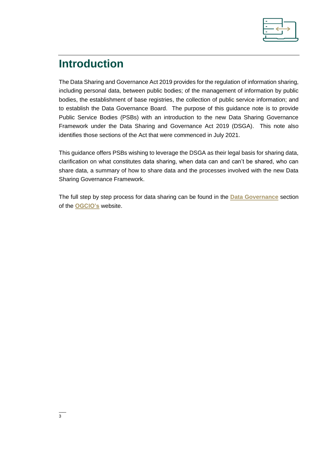

# <span id="page-2-0"></span>**Introduction**

The Data Sharing and Governance Act 2019 provides for the regulation of information sharing, including personal data, between public bodies; of the management of information by public bodies, the establishment of base registries, the collection of public service information; and to establish the Data Governance Board. The purpose of this guidance note is to provide Public Service Bodies (PSBs) with an introduction to the new Data Sharing Governance Framework under the Data Sharing and Governance Act 2019 (DSGA). This note also identifies those sections of the Act that were commenced in July 2021.

This guidance offers PSBs wishing to leverage the DSGA as their legal basis for sharing data, clarification on what constitutes data sharing, when data can and can't be shared, who can share data, a summary of how to share data and the processes involved with the new Data Sharing Governance Framework.

The full step by step process for data sharing can be found in the **[Data Governance](https://ogcio.gov.ie/data-policy-team/)** section of the **[OGCIO's](https://ogcio.gov.ie/)** website.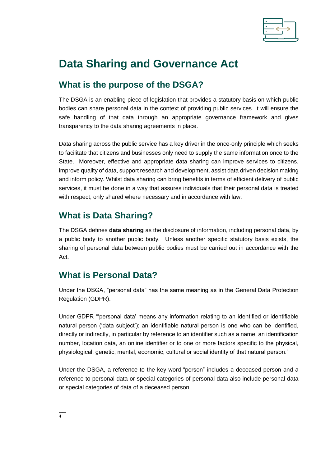

# <span id="page-3-0"></span>**Data Sharing and Governance Act**

# <span id="page-3-1"></span>**What is the purpose of the DSGA?**

The DSGA is an enabling piece of legislation that provides a statutory basis on which public bodies can share personal data in the context of providing public services. It will ensure the safe handling of that data through an appropriate governance framework and gives transparency to the data sharing agreements in place.

Data sharing across the public service has a key driver in the once-only principle which seeks to facilitate that citizens and businesses only need to supply the same information once to the State. Moreover, effective and appropriate data sharing can improve services to citizens, improve quality of data, support research and development, assist data driven decision making and inform policy. Whilst data sharing can bring benefits in terms of efficient delivery of public services, it must be done in a way that assures individuals that their personal data is treated with respect, only shared where necessary and in accordance with law.

# <span id="page-3-2"></span>**What is Data Sharing?**

The DSGA defines **data sharing** as the disclosure of information, including personal data, by a public body to another public body. Unless another specific statutory basis exists, the sharing of personal data between public bodies must be carried out in accordance with the Act.

### <span id="page-3-3"></span>**What is Personal Data?**

Under the DSGA, "personal data" has the same meaning as in the General Data Protection Regulation (GDPR).

Under GDPR "'personal data' means any information relating to an identified or identifiable natural person ('data subject'); an identifiable natural person is one who can be identified, directly or indirectly, in particular by reference to an identifier such as a name, an identification number, location data, an online identifier or to one or more factors specific to the physical, physiological, genetic, mental, economic, cultural or social identity of that natural person."

Under the DSGA, a reference to the key word "person" includes a deceased person and a reference to personal data or special categories of personal data also include personal data or special categories of data of a deceased person.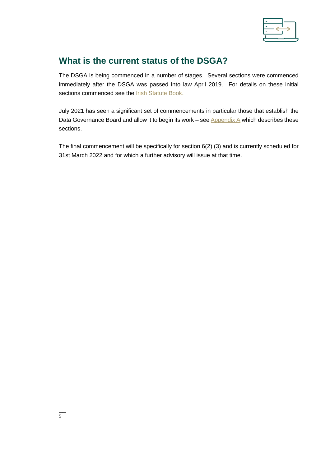

## <span id="page-4-0"></span>**What is the current status of the DSGA?**

The DSGA is being commenced in a number of stages. Several sections were commenced immediately after the DSGA was passed into law April 2019. For details on these initial sections commenced see the **Irish [Statute Book.](http://www.irishstatutebook.ie/eli/isbc/2019_5.html)** 

July 2021 has seen a significant set of commencements in particular those that establish the Data Governance Board and allow it to begin its work – see [Appendix A](#page-12-0) which describes these sections.

The final commencement will be specifically for section 6(2) (3) and is currently scheduled for 31st March 2022 and for which a further advisory will issue at that time.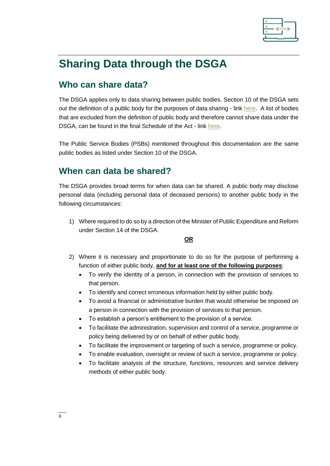

# <span id="page-5-0"></span>**Sharing Data through the DSGA**

# <span id="page-5-1"></span>**Who can share data?**

The DSGA applies only to data sharing between public bodies. Section 10 of the DSGA sets out the definition of a public body for the purposes of data sharing - link [here.](http://www.irishstatutebook.ie/eli/2019/act/5/enacted/en/print#sec10) A list of bodies that are excluded from the definition of public body and therefore cannot share data under the DSGA, can be found in the final Schedule of the Act - link [here.](http://www.irishstatutebook.ie/eli/2019/act/5/enacted/en/print#sched)

The Public Service Bodies (PSBs) mentioned throughout this documentation are the same public bodies as listed under Section 10 of the DSGA.

### <span id="page-5-2"></span>**When can data be shared?**

The DSGA provides broad terms for when data can be shared. A public body may disclose personal data (including personal data of deceased persons) to another public body in the following circumstances:

1) Where required to do so by a direction of the Minister of Public Expenditure and Reform under Section 14 of the DSGA.

**OR**

- 2) Where it is necessary and proportionate to do so for the purpose of performing a function of either public body, **and for at least one of the following purposes**:
	- To verify the identity of a person, in connection with the provision of services to that person.
	- To identify and correct erroneous information held by either public body.
	- To avoid a financial or administrative burden that would otherwise be imposed on a person in connection with the provision of services to that person.
	- To establish a person's entitlement to the provision of a service.
	- To facilitate the administration, supervision and control of a service, programme or policy being delivered by or on behalf of either public body.
	- To facilitate the improvement or targeting of such a service, programme or policy.
	- To enable evaluation, oversight or review of such a service, programme or policy.
	- To facilitate analysis of the structure, functions, resources and service delivery methods of either public body.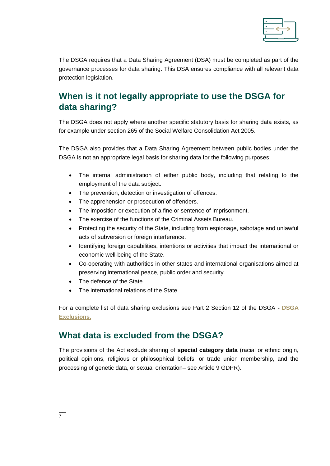

The DSGA requires that a Data Sharing Agreement (DSA) must be completed as part of the governance processes for data sharing. This DSA ensures compliance with all relevant data protection legislation.

# <span id="page-6-0"></span>**When is it not legally appropriate to use the DSGA for data sharing?**

The DSGA does not apply where another specific statutory basis for sharing data exists, as for example under section 265 of the Social Welfare Consolidation Act 2005.

The DSGA also provides that a Data Sharing Agreement between public bodies under the DSGA is not an appropriate legal basis for sharing data for the following purposes:

- The internal administration of either public body, including that relating to the employment of the data subject.
- The prevention, detection or investigation of offences.
- The apprehension or prosecution of offenders.
- The imposition or execution of a fine or sentence of imprisonment.
- The exercise of the functions of the Criminal Assets Bureau.
- Protecting the security of the State, including from espionage, sabotage and unlawful acts of subversion or foreign interference.
- Identifying foreign capabilities, intentions or activities that impact the international or economic well-being of the State.
- Co-operating with authorities in other states and international organisations aimed at preserving international peace, public order and security.
- The defence of the State.
- The international relations of the State.

For a complete list of data sharing exclusions see Part 2 Section 12 of the DSGA **- [DSGA](http://www.irishstatutebook.ie/eli/2019/act/5/enacted/en/print#sec12)  [Exclusions.](http://www.irishstatutebook.ie/eli/2019/act/5/enacted/en/print#sec12)**

### <span id="page-6-1"></span>**What data is excluded from the DSGA?**

The provisions of the Act exclude sharing of **special category data** (racial or ethnic origin, political opinions, religious or philosophical beliefs, or trade union membership, and the processing of genetic data, or sexual orientation– see Article 9 GDPR).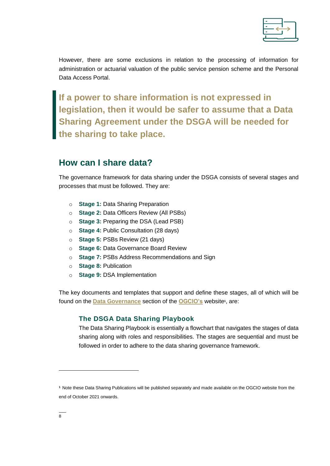

However, there are some exclusions in relation to the processing of information for administration or actuarial valuation of the public service pension scheme and the Personal Data Access Portal.

**If a power to share information is not expressed in legislation, then it would be safer to assume that a Data Sharing Agreement under the DSGA will be needed for the sharing to take place.**

### <span id="page-7-0"></span>**How can I share data?**

The governance framework for data sharing under the DSGA consists of several stages and processes that must be followed. They are:

- o **Stage 1:** Data Sharing Preparation
- o **Stage 2:** Data Officers Review (All PSBs)
- o **Stage 3:** Preparing the DSA (Lead PSB)
- o **Stage 4:** Public Consultation (28 days)
- o **Stage 5:** PSBs Review (21 days)
- o **Stage 6:** Data Governance Board Review
- o **Stage 7:** PSBs Address Recommendations and Sign
- o **Stage 8:** Publication
- o **Stage 9:** DSA Implementation

<span id="page-7-1"></span>The key documents and templates that support and define these stages, all of which will be found on the **[Data Governance](https://www.ogcio.gov.ie/en/corporate-pages/policy/data-governance/data-policy-team/)** section of the **[OGCIO's](https://www.ogcio.gov.ie/en/)** website**<sup>1</sup>** , are:

#### **The DSGA Data Sharing Playbook**

The Data Sharing Playbook is essentially a flowchart that navigates the stages of data sharing along with roles and responsibilities. The stages are sequential and must be followed in order to adhere to the data sharing governance framework.

 $\overline{a}$ 

**<sup>1</sup>** Note these Data Sharing Publications will be published separately and made available on the OGCIO website from the end of October 2021 onwards.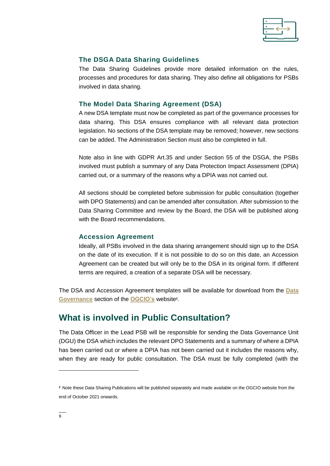

#### <span id="page-8-0"></span>**The DSGA Data Sharing Guidelines**

The Data Sharing Guidelines provide more detailed information on the rules, processes and procedures for data sharing. They also define all obligations for PSBs involved in data sharing.

#### <span id="page-8-1"></span>**The Model Data Sharing Agreement (DSA)**

A new DSA template must now be completed as part of the governance processes for data sharing. This DSA ensures compliance with all relevant data protection legislation. No sections of the DSA template may be removed; however, new sections can be added. The Administration Section must also be completed in full.

Note also in line with GDPR Art.35 and under Section 55 of the DSGA, the PSBs involved must publish a summary of any Data Protection Impact Assessment (DPIA) carried out, or a summary of the reasons why a DPIA was not carried out.

All sections should be completed before submission for public consultation (together with DPO Statements) and can be amended after consultation. After submission to the Data Sharing Committee and review by the Board, the DSA will be published along with the Board recommendations.

#### <span id="page-8-2"></span>**Accession Agreement**

Ideally, all PSBs involved in the data sharing arrangement should sign up to the DSA on the date of its execution. If it is not possible to do so on this date, an Accession Agreement can be created but will only be to the DSA in its original form. If different terms are required, a creation of a separate DSA will be necessary.

The DSA and Accession Agreement templates will be available for download from the **[Data](https://www.ogcio.gov.ie/en/corporate-pages/policy/data-governance/data-policy-team/)  [Governance](https://www.ogcio.gov.ie/en/corporate-pages/policy/data-governance/data-policy-team/)** section of the **[OGCIO's](https://www.ogcio.gov.ie/en/)** website**<sup>2</sup>** .

### <span id="page-8-3"></span>**What is involved in Public Consultation?**

The Data Officer in the Lead PSB will be responsible for sending the Data Governance Unit (DGU) the DSA which includes the relevant DPO Statements and a summary of where a DPIA has been carried out or where a DPIA has not been carried out it includes the reasons why, when they are ready for public consultation. The DSA must be fully completed (with the

 $\overline{a}$ 

**<sup>2</sup>** Note these Data Sharing Publications will be published separately and made available on the OGCIO website from the end of October 2021 onwards.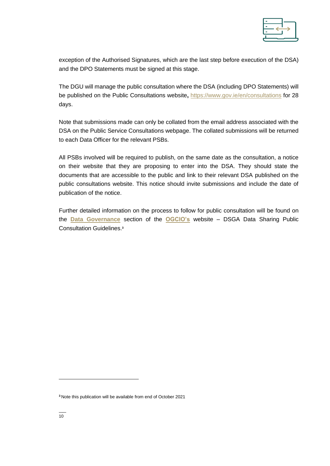

exception of the Authorised Signatures, which are the last step before execution of the DSA) and the DPO Statements must be signed at this stage.

The DGU will manage the public consultation where the DSA (including DPO Statements) will be published on the Public Consultations website**,** <https://www.gov.ie/en/consultations> for 28 days.

Note that submissions made can only be collated from the email address associated with the DSA on the Public Service Consultations webpage. The collated submissions will be returned to each Data Officer for the relevant PSBs.

All PSBs involved will be required to publish, on the same date as the consultation, a notice on their website that they are proposing to enter into the DSA. They should state the documents that are accessible to the public and link to their relevant DSA published on the public consultations website. This notice should invite submissions and include the date of publication of the notice.

Further detailed information on the process to follow for public consultation will be found on the **[Data Governance](https://www.ogcio.gov.ie/en/corporate-pages/policy/data-governance/data-policy-team/)** section of the **[OGCIO's](https://www.ogcio.gov.ie/en/)** website – DSGA Data Sharing Public Consultation Guidelines.**<sup>3</sup>**

 $\overline{a}$ 

**<sup>3</sup>** Note this publication will be available from end of October 2021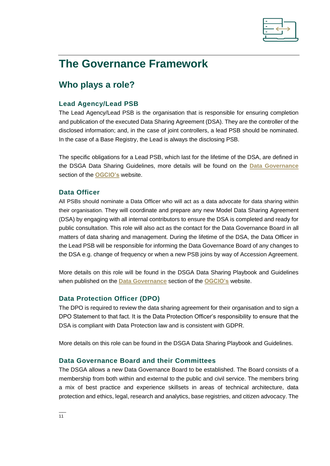

# <span id="page-10-0"></span>**The Governance Framework**

# <span id="page-10-1"></span>**Who plays a role?**

#### <span id="page-10-2"></span>**Lead Agency/Lead PSB**

The Lead Agency/Lead PSB is the organisation that is responsible for ensuring completion and publication of the executed Data Sharing Agreement (DSA). They are the controller of the disclosed information; and, in the case of joint controllers, a lead PSB should be nominated. In the case of a Base Registry, the Lead is always the disclosing PSB.

The specific obligations for a Lead PSB, which last for the lifetime of the DSA, are defined in the DSGA Data Sharing Guidelines, more details will be found on the **[Data Governance](https://www.ogcio.gov.ie/en/corporate-pages/policy/data-governance/data-policy-team/)** section of the **[OGCIO's](https://www.ogcio.gov.ie/en/)** website.

#### <span id="page-10-3"></span>**Data Officer**

All PSBs should nominate a Data Officer who will act as a data advocate for data sharing within their organisation. They will coordinate and prepare any new Model Data Sharing Agreement (DSA) by engaging with all internal contributors to ensure the DSA is completed and ready for public consultation. This role will also act as the contact for the Data Governance Board in all matters of data sharing and management. During the lifetime of the DSA, the Data Officer in the Lead PSB will be responsible for informing the Data Governance Board of any changes to the DSA e.g. change of frequency or when a new PSB joins by way of Accession Agreement.

More details on this role will be found in the DSGA Data Sharing Playbook and Guidelines when published on the **[Data Governance](https://www.ogcio.gov.ie/en/corporate-pages/policy/data-governance/data-policy-team/)** section of the **[OGCIO's](https://www.ogcio.gov.ie/en/)** website.

#### <span id="page-10-4"></span>**Data Protection Officer (DPO)**

The DPO is required to review the data sharing agreement for their organisation and to sign a DPO Statement to that fact. It is the Data Protection Officer's responsibility to ensure that the DSA is compliant with Data Protection law and is consistent with GDPR.

<span id="page-10-5"></span>More details on this role can be found in the DSGA Data Sharing Playbook and Guidelines.

#### **Data Governance Board and their Committees**

The DSGA allows a new Data Governance Board to be established. The Board consists of a membership from both within and external to the public and civil service. The members bring a mix of best practice and experience skillsets in areas of technical architecture, data protection and ethics, legal, research and analytics, base registries, and citizen advocacy. The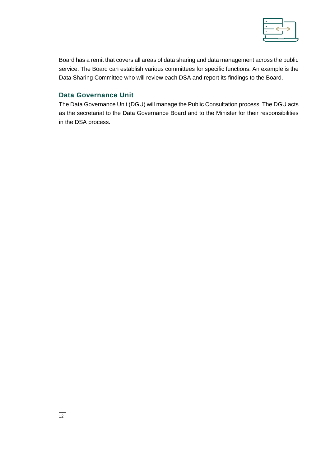

Board has a remit that covers all areas of data sharing and data management across the public service. The Board can establish various committees for specific functions. An example is the Data Sharing Committee who will review each DSA and report its findings to the Board.

#### <span id="page-11-0"></span>**Data Governance Unit**

The Data Governance Unit (DGU) will manage the Public Consultation process. The DGU acts as the secretariat to the Data Governance Board and to the Minister for their responsibilities in the DSA process.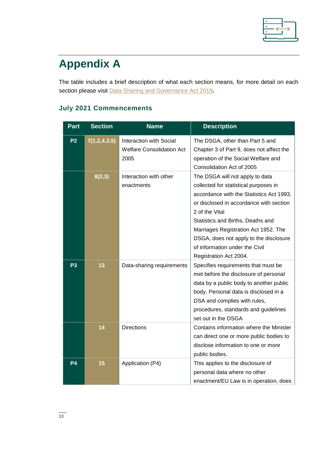

# <span id="page-12-0"></span>**Appendix A**

The table includes a brief description of what each section means, for more detail on each section please visit [Data Sharing and Governance Act 2019](http://www.irishstatutebook.ie/eli/2019/act/5/enacted/en/pdf)**.**

### <span id="page-12-1"></span>**July 2021 Commencements**

| <b>Part</b>    | <b>Section</b> | <b>Name</b>                                                                | <b>Description</b>                                                                                                                                                                                                                                                                                                                                                   |
|----------------|----------------|----------------------------------------------------------------------------|----------------------------------------------------------------------------------------------------------------------------------------------------------------------------------------------------------------------------------------------------------------------------------------------------------------------------------------------------------------------|
| P <sub>2</sub> | 7(1,2,4,3,5)   | <b>Interaction with Social</b><br><b>Welfare Consolidation Act</b><br>2005 | The DSGA, other than Part 5 and<br>Chapter 3 of Part 9, does not affect the<br>operation of the Social Welfare and<br>Consolidation Act of 2005                                                                                                                                                                                                                      |
|                | 8(2,3)         | Interaction with other<br>enactments                                       | The DSGA will not apply to data<br>collected for statistical purposes in<br>accordance with the Statistics Act 1993,<br>or disclosed in accordance with section<br>2 of the Vital<br>Statistics and Births, Deaths and<br>Marriages Registration Act 1952. The<br>DSGA, does not apply to the disclosure<br>of information under the Civil<br>Registration Act 2004. |
| P <sub>3</sub> | 13             | Data-sharing requirements                                                  | Specifies requirements that must be<br>met before the disclosure of personal<br>data by a public body to another public<br>body. Personal data is disclosed in a<br>DSA and complies with rules,<br>procedures, standards and guidelines<br>set out in the DSGA                                                                                                      |
|                | 14             | <b>Directions</b>                                                          | Contains information where the Minister<br>can direct one or more public bodies to<br>disclose information to one or more<br>public bodies.                                                                                                                                                                                                                          |
| P4             | 15             | Application (P4)                                                           | This applies to the disclosure of<br>personal data where no other<br>enactment/EU Law is in operation, does                                                                                                                                                                                                                                                          |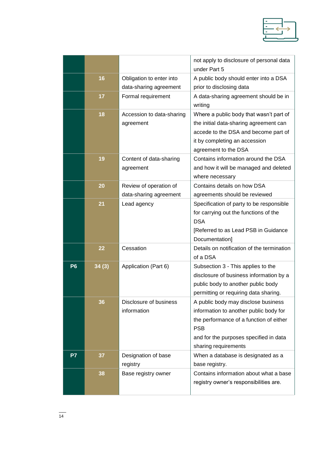

|                |       |                                                    | not apply to disclosure of personal data<br>under Part 5                                                                                                                                                 |
|----------------|-------|----------------------------------------------------|----------------------------------------------------------------------------------------------------------------------------------------------------------------------------------------------------------|
|                | 16    | Obligation to enter into<br>data-sharing agreement | A public body should enter into a DSA<br>prior to disclosing data                                                                                                                                        |
|                | 17    | Formal requirement                                 | A data-sharing agreement should be in<br>writing                                                                                                                                                         |
|                | 18    | Accession to data-sharing<br>agreement             | Where a public body that wasn't part of<br>the initial data-sharing agreement can<br>accede to the DSA and become part of<br>it by completing an accession<br>agreement to the DSA                       |
|                | 19    | Content of data-sharing<br>agreement               | Contains information around the DSA<br>and how it will be managed and deleted<br>where necessary                                                                                                         |
|                | 20    | Review of operation of<br>data-sharing agreement   | Contains details on how DSA<br>agreements should be reviewed                                                                                                                                             |
|                | 21    | Lead agency                                        | Specification of party to be responsible<br>for carrying out the functions of the<br><b>DSA</b><br>[Referred to as Lead PSB in Guidance<br>Documentation]                                                |
|                | 22    | Cessation                                          | Details on notification of the termination<br>of a DSA                                                                                                                                                   |
| P <sub>6</sub> | 34(3) | Application (Part 6)                               | Subsection 3 - This applies to the<br>disclosure of business information by a<br>public body to another public body<br>permitting or requiring data sharing.                                             |
|                | 36    | Disclosure of business<br>information              | A public body may disclose business<br>information to another public body for<br>the performance of a function of either<br><b>PSB</b><br>and for the purposes specified in data<br>sharing requirements |
| P7             | 37    | Designation of base<br>registry                    | When a database is designated as a<br>base registry.                                                                                                                                                     |
|                | 38    | Base registry owner                                | Contains information about what a base<br>registry owner's responsibilities are.                                                                                                                         |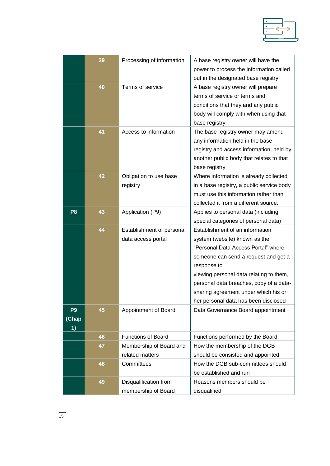|                               | 39 | Processing of information                       | A base registry owner will have the<br>power to process the information called<br>out in the designated base registry                                                                                                                                                                                                                |
|-------------------------------|----|-------------------------------------------------|--------------------------------------------------------------------------------------------------------------------------------------------------------------------------------------------------------------------------------------------------------------------------------------------------------------------------------------|
|                               | 40 | Terms of service                                | A base registry owner will prepare<br>terms of service or terms and<br>conditions that they and any public<br>body will comply with when using that<br>base registry                                                                                                                                                                 |
|                               | 41 | Access to information                           | The base registry owner may amend<br>any information held in the base<br>registry and access information, held by<br>another public body that relates to that<br>base registry                                                                                                                                                       |
|                               | 42 | Obligation to use base<br>registry              | Where information is already collected<br>in a base registry, a public service body<br>must use this information rather than<br>collected it from a different source.                                                                                                                                                                |
| P <sub>8</sub>                | 43 | Application (P9)                                | Applies to personal data (including<br>special categories of personal data)                                                                                                                                                                                                                                                          |
|                               | 44 | Establishment of personal<br>data access portal | Establishment of an information<br>system (website) known as the<br>"Personal Data Access Portal" where<br>someone can send a request and get a<br>response to<br>viewing personal data relating to them,<br>personal data breaches, copy of a data-<br>sharing agreement under which his or<br>her personal data has been disclosed |
| P <sub>9</sub><br>(Chap<br>1) | 45 | Appointment of Board                            | Data Governance Board appointment                                                                                                                                                                                                                                                                                                    |
|                               | 46 | <b>Functions of Board</b>                       | Functions performed by the Board                                                                                                                                                                                                                                                                                                     |
|                               | 47 | Membership of Board and<br>related matters      | How the membership of the DGB<br>should be consisted and appointed                                                                                                                                                                                                                                                                   |
|                               | 48 | Committees                                      | How the DGB sub-committees should<br>be established and run                                                                                                                                                                                                                                                                          |
|                               | 49 | Disqualification from<br>membership of Board    | Reasons members should be<br>disqualified                                                                                                                                                                                                                                                                                            |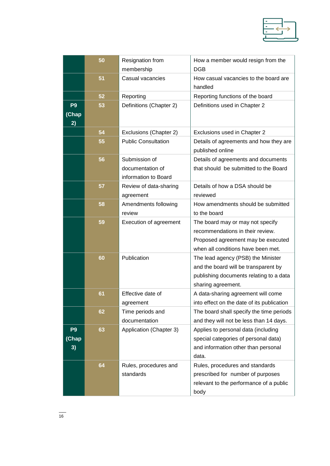

|                                | 50 | Resignation from                                          | How a member would resign from the                                                                                                               |
|--------------------------------|----|-----------------------------------------------------------|--------------------------------------------------------------------------------------------------------------------------------------------------|
|                                |    | membership                                                | <b>DGB</b>                                                                                                                                       |
|                                | 51 | Casual vacancies                                          | How casual vacancies to the board are<br>handled                                                                                                 |
|                                | 52 | Reporting                                                 | Reporting functions of the board                                                                                                                 |
| P <sub>9</sub><br>(Chap)<br>2) | 53 | Definitions (Chapter 2)                                   | Definitions used in Chapter 2                                                                                                                    |
|                                | 54 | Exclusions (Chapter 2)                                    | Exclusions used in Chapter 2                                                                                                                     |
|                                | 55 | <b>Public Consultation</b>                                | Details of agreements and how they are<br>published online                                                                                       |
|                                | 56 | Submission of<br>documentation of<br>information to Board | Details of agreements and documents<br>that should be submitted to the Board                                                                     |
|                                | 57 | Review of data-sharing<br>agreement                       | Details of how a DSA should be<br>reviewed                                                                                                       |
|                                | 58 | Amendments following<br>review                            | How amendments should be submitted<br>to the board                                                                                               |
|                                | 59 | Execution of agreement                                    | The board may or may not specify<br>recommendations in their review.<br>Proposed agreement may be executed<br>when all conditions have been met. |
|                                | 60 | Publication                                               | The lead agency (PSB) the Minister<br>and the board will be transparent by<br>publishing documents relating to a data<br>sharing agreement.      |
|                                | 61 | Effective date of<br>agreement                            | A data-sharing agreement will come<br>into effect on the date of its publication                                                                 |
|                                | 62 | Time periods and<br>documentation                         | The board shall specify the time periods<br>and they will not be less than 14 days.                                                              |
| P <sub>9</sub><br>(Chap<br>3)  | 63 | Application (Chapter 3)                                   | Applies to personal data (including<br>special categories of personal data)<br>and information other than personal<br>data.                      |
|                                | 64 | Rules, procedures and<br>standards                        | Rules, procedures and standards<br>prescribed for number of purposes<br>relevant to the performance of a public<br>body                          |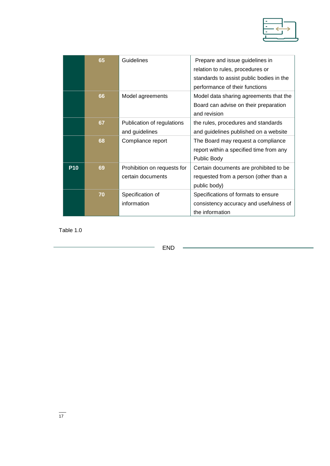

|            | 65 | Guidelines                                       | Prepare and issue guidelines in<br>relation to rules, procedures or<br>standards to assist public bodies in the<br>performance of their functions |
|------------|----|--------------------------------------------------|---------------------------------------------------------------------------------------------------------------------------------------------------|
|            | 66 | Model agreements                                 | Model data sharing agreements that the<br>Board can advise on their preparation<br>and revision                                                   |
|            | 67 | Publication of regulations<br>and guidelines     | the rules, procedures and standards<br>and guidelines published on a website                                                                      |
|            | 68 | Compliance report                                | The Board may request a compliance<br>report within a specified time from any<br>Public Body                                                      |
| <b>P10</b> | 69 | Prohibition on requests for<br>certain documents | Certain documents are prohibited to be<br>requested from a person (other than a<br>public body)                                                   |
|            | 70 | Specification of<br>information                  | Specifications of formats to ensure<br>consistency accuracy and usefulness of<br>the information                                                  |

Table 1.0

END